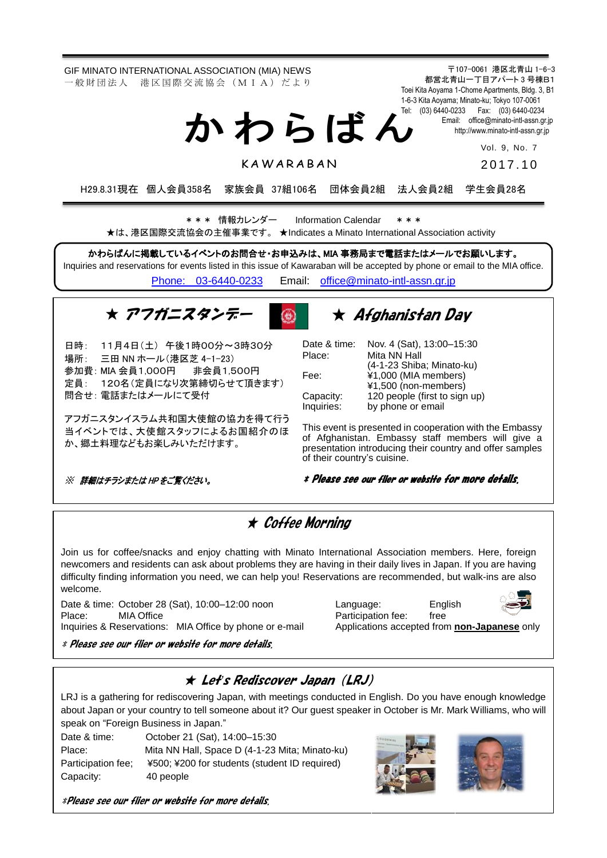GIF MINATO INTERNATIONAL ASSOCIATION (MIA) NEWS 一 般 財 団 法 人 港 区 国 際 交 流 協 会 (M I A) だ よ り

か わ ら ば ん

〒107-0061 港区北青山 1-6-3 都営北青山一丁目アパート 3 号棟B1 Toei Kita Aoyama 1-Chome Apartments, Bldg. 3, B1 1-6-3 Kita Aoyama; Minato-ku; Tokyo 107-0061 Tel: (03) 6440-0233 Fax: (03) 6440-0234 Email: [office@minato-intl-assn.gr.jp](mailto:office@minato-intl-assn.gr.jp) [http://www.minato-intl-assn.gr.jp](http://www.minato-intl-assn.gr.jp/)

Vol. 9, No. 7

**KAWARABAN** 

201 7 . 1 0

H29.8.31現在 個人会員358名 家族会員 37組106名 団体会員2組 法人会員2組 学生会員28名

\* \* \* 情報カレンダー Information Calendar \* \* \* ★は、港区国際交流協会の主催事業です。 ★Indicates a Minato International Association activity

かわらばんに掲載しているイベントのお問合せ・お申込みは、MIA 事務局まで電話またはメールでお願いします。 Inquiries and reservations for events listed in this issue of Kawaraban will be accepted by phone or email to the MIA office. [Phone: 03-6440-0233](mailto:Phone:%20%2003-6440-0233) Email: [office@minato-intl-assn.gr.jp](mailto:office@minato-intl-assn.gr.jp)

★ アフガニスタンデー



問合せ: 電話またはメールにて受付

アフガニスタンイスラム共和国大使館の協力を得て行う 当イベントでは、大使館スタッフによるお国紹介のほ か、郷土料理などもお楽しみいただけます。

※ 詳細はチラシまたは HP をご覧ください。

# ★ Afghanistan Day

Date & time: Nov. 4 (Sat), 13:00–15:30 Place: Mita NN Hall (4-1-23 Shiba; Minato-ku) Fee: ¥1,000 (MIA members) ¥1,500 (non-members) Capacity: 120 people (first to sign up)<br>Inquiries: by phone or email by phone or email

This event is presented in cooperation with the Embassy of Afghanistan. Embassy staff members will give a presentation introducing their country and offer samples of their country's cuisine.

### \* Please see our flier or website for more details.

#### of ★ Coffee Morning

 Join us for coffee/snacks and enjoy chatting with Minato International Association members. Here, foreign newcomers and residents can ask about problems they are having in their daily lives in Japan. If you are having difficulty finding information you need, we can help you! Reservations are recommended, but walk-ins are also welcome.

Date & time: October 28 (Sat), 10:00-12:00 noon Language: English Place: MIA Office **Participation fee:** free

Inquiries & Reservations: MIA Office by phone or e-mail Applications accepted from **non-Japanese** only

\* Please see our flier or website for more details.

### ★ Let*'*s Rediscover Japan (LRJ)

LRJ is a gathering for rediscovering Japan, with meetings conducted in English. Do you have enough knowledge about Japan or your country to tell someone about it? Our guest speaker in October is Mr. Mark Williams, who will speak on "Foreign Business in Japan."

Date & time: October 21 (Sat), 14:00–15:30 Place: Mita NN Hall, Space D (4-1-23 Mita; Minato-ku) Participation fee; ¥500; ¥200 for students (student ID required) Capacity: 40 people



\*Please see our flier or website for more details.